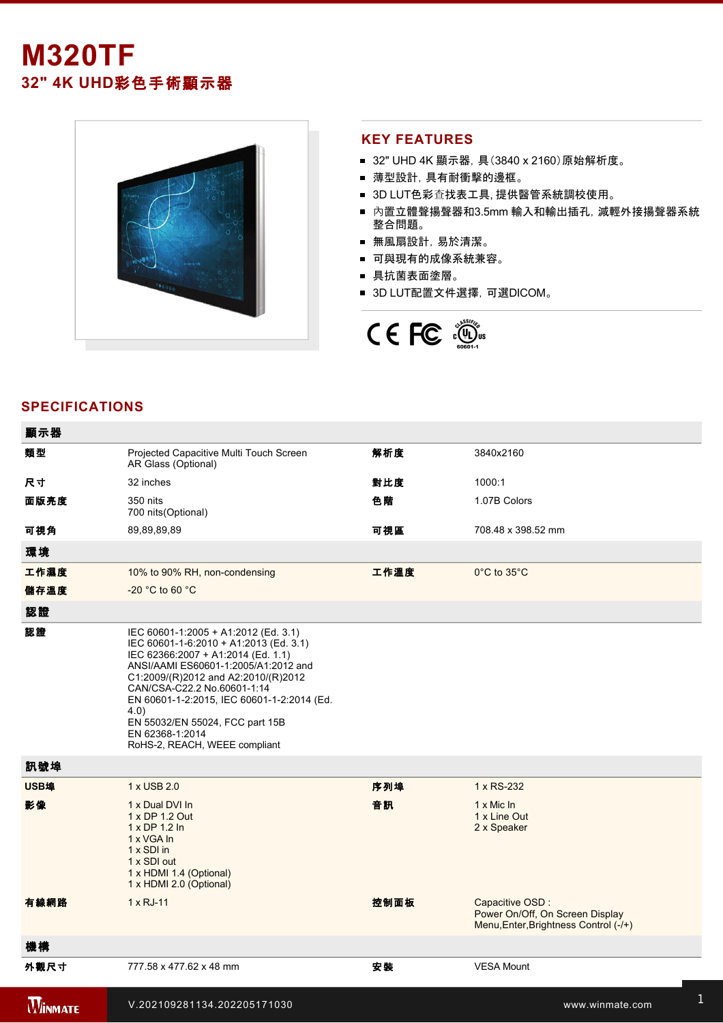# **M320TF 32" 4K UHD**彩色手術顯示器



#### **KEY FEATURES**

- 32" UHD 4K 顯示器, 具(3840 x 2160) 原始解析度。
- 薄型設計,具有耐衝擊的邊框。
- 3D LUT色彩查找表工具, 提供醫管系統調校使用。
- 內置立體聲揚聲器和3.5mm 輸入和輸出插孔, 減輕外接揚聲器系統 整合問題。
- 無風扇設計,易於清潔。
- 可與現有的成像系統兼容。
- 具抗菌表面塗層。
- 3D LUT配置文件選擇, 可選DICOM。



## **SPECIFICATIONS**

| 顯示器            |                                                                                                                                                                                                                                                                                                                                                                                 |      |                                                                                             |
|----------------|---------------------------------------------------------------------------------------------------------------------------------------------------------------------------------------------------------------------------------------------------------------------------------------------------------------------------------------------------------------------------------|------|---------------------------------------------------------------------------------------------|
| 類型             | Projected Capacitive Multi Touch Screen<br>AR Glass (Optional)                                                                                                                                                                                                                                                                                                                  | 解析度  | 3840x2160                                                                                   |
| 尺寸             | 32 inches                                                                                                                                                                                                                                                                                                                                                                       | 對比度  | 1000:1                                                                                      |
| 面版亮度           | 350 nits<br>700 nits (Optional)                                                                                                                                                                                                                                                                                                                                                 | 色階   | 1.07B Colors                                                                                |
| 可視角            | 89,89,89,89                                                                                                                                                                                                                                                                                                                                                                     | 可視區  | 708.48 x 398.52 mm                                                                          |
| 環境             |                                                                                                                                                                                                                                                                                                                                                                                 |      |                                                                                             |
| 工作濕度           | 10% to 90% RH, non-condensing                                                                                                                                                                                                                                                                                                                                                   | 工作溫度 | 0°C to 35°C                                                                                 |
| 儲存溫度           | -20 °C to 60 °C                                                                                                                                                                                                                                                                                                                                                                 |      |                                                                                             |
| 認證             |                                                                                                                                                                                                                                                                                                                                                                                 |      |                                                                                             |
| 認證             | IEC 60601-1:2005 + A1:2012 (Ed. 3.1)<br>IEC 60601-1-6:2010 + A1:2013 (Ed. 3.1)<br>IEC 62366:2007 + A1:2014 (Ed. 1.1)<br>ANSI/AAMI ES60601-1:2005/A1:2012 and<br>C1:2009/(R)2012 and A2:2010/(R)2012<br>CAN/CSA-C22.2 No.60601-1:14<br>EN 60601-1-2:2015, IEC 60601-1-2:2014 (Ed.<br>4.0)<br>EN 55032/EN 55024, FCC part 15B<br>EN 62368-1:2014<br>RoHS-2, REACH, WEEE compliant |      |                                                                                             |
| 訊號埠            |                                                                                                                                                                                                                                                                                                                                                                                 |      |                                                                                             |
| USB埠           | 1 x USB 2.0                                                                                                                                                                                                                                                                                                                                                                     | 序列埠  | 1 x RS-232                                                                                  |
| 影像             | 1 x Dual DVI In<br>1 x DP 1.2 Out<br>1 x DP 1.2 In<br>1 x VGA In<br>1 x SDI in<br>1 x SDI out<br>1 x HDMI 1.4 (Optional)<br>1 x HDMI 2.0 (Optional)                                                                                                                                                                                                                             | 音訊   | $1 \times$ Mic In<br>1 x Line Out<br>2 x Speaker                                            |
| 有線網路           | $1 \times RJ-11$                                                                                                                                                                                                                                                                                                                                                                | 控制面板 | Capacitive OSD:<br>Power On/Off, On Screen Display<br>Menu, Enter, Brightness Control (-/+) |
| 機構             |                                                                                                                                                                                                                                                                                                                                                                                 |      |                                                                                             |
| 外觀尺寸           | 777.58 x 477.62 x 48 mm                                                                                                                                                                                                                                                                                                                                                         | 安裝   | <b>VESA Mount</b>                                                                           |
| <b>WINMATE</b> | V.202109281134.202205171030                                                                                                                                                                                                                                                                                                                                                     |      | www.winmate.com                                                                             |